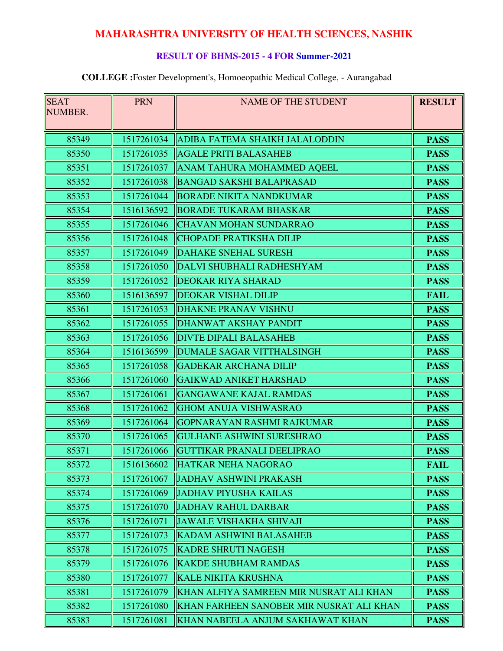# **MAHARASHTRA UNIVERSITY OF HEALTH SCIENCES, NASHIK**

### **RESULT OF BHMS-2015 - 4 FOR Summer-2021**

#### **COLLEGE :**Foster Development's, Homoeopathic Medical College, - Aurangabad

| <b>SEAT</b><br>NUMBER. | <b>PRN</b> | <b>NAME OF THE STUDENT</b>               | <b>RESULT</b> |
|------------------------|------------|------------------------------------------|---------------|
|                        |            |                                          |               |
| 85349                  | 1517261034 | ADIBA FATEMA SHAIKH JALALODDIN           | <b>PASS</b>   |
| 85350                  | 1517261035 | <b>AGALE PRITI BALASAHEB</b>             | <b>PASS</b>   |
| 85351                  | 1517261037 | ANAM TAHURA MOHAMMED AQEEL               | <b>PASS</b>   |
| 85352                  | 1517261038 | <b>BANGAD SAKSHI BALAPRASAD</b>          | <b>PASS</b>   |
| 85353                  | 1517261044 | <b>BORADE NIKITA NANDKUMAR</b>           | <b>PASS</b>   |
| 85354                  | 1516136592 | <b>BORADE TUKARAM BHASKAR</b>            | <b>PASS</b>   |
| 85355                  | 1517261046 | <b>CHAVAN MOHAN SUNDARRAO</b>            | <b>PASS</b>   |
| 85356                  | 1517261048 | <b>CHOPADE PRATIKSHA DILIP</b>           | <b>PASS</b>   |
| 85357                  | 1517261049 | <b>DAHAKE SNEHAL SURESH</b>              | <b>PASS</b>   |
| 85358                  | 1517261050 | DALVI SHUBHALI RADHESHYAM                | <b>PASS</b>   |
| 85359                  | 1517261052 | <b>DEOKAR RIYA SHARAD</b>                | <b>PASS</b>   |
| 85360                  | 1516136597 | <b>DEOKAR VISHAL DILIP</b>               | <b>FAIL</b>   |
| 85361                  | 1517261053 | <b>DHAKNE PRANAV VISHNU</b>              | <b>PASS</b>   |
| 85362                  | 1517261055 | <b>DHANWAT AKSHAY PANDIT</b>             | <b>PASS</b>   |
| 85363                  | 1517261056 | <b>DIVTE DIPALI BALASAHEB</b>            | <b>PASS</b>   |
| 85364                  | 1516136599 | <b>DUMALE SAGAR VITTHALSINGH</b>         | <b>PASS</b>   |
| 85365                  | 1517261058 | <b>GADEKAR ARCHANA DILIP</b>             | <b>PASS</b>   |
| 85366                  | 1517261060 | <b>GAIKWAD ANIKET HARSHAD</b>            | <b>PASS</b>   |
| 85367                  | 1517261061 | <b>GANGAWANE KAJAL RAMDAS</b>            | <b>PASS</b>   |
| 85368                  | 1517261062 | <b>GHOM ANUJA VISHWASRAO</b>             | <b>PASS</b>   |
| 85369                  | 1517261064 | <b>GOPNARAYAN RASHMI RAJKUMAR</b>        | <b>PASS</b>   |
| 85370                  | 1517261065 | <b>GULHANE ASHWINI SURESHRAO</b>         | <b>PASS</b>   |
| 85371                  | 1517261066 | <b>GUTTIKAR PRANALI DEELIPRAO</b>        | <b>PASS</b>   |
| 85372                  | 1516136602 | HATKAR NEHA NAGORAO                      | <b>FAIL</b>   |
| 85373                  | 1517261067 | <b>JADHAV ASHWINI PRAKASH</b>            | <b>PASS</b>   |
| 85374                  | 1517261069 | <b>JJADHAV PIYUSHA KAILAS</b>            | <b>PASS</b>   |
| 85375                  | 1517261070 | <b>JADHAV RAHUL DARBAR</b>               | <b>PASS</b>   |
| 85376                  | 1517261071 | <b>JAWALE VISHAKHA SHIVAJI</b>           | <b>PASS</b>   |
| 85377                  | 1517261073 | <b>KADAM ASHWINI BALASAHEB</b>           | <b>PASS</b>   |
| 85378                  | 1517261075 | <b>KADRE SHRUTI NAGESH</b>               | <b>PASS</b>   |
| 85379                  | 1517261076 | <b>KAKDE SHUBHAM RAMDAS</b>              | <b>PASS</b>   |
| 85380                  | 1517261077 | <b>KALE NIKITA KRUSHNA</b>               | <b>PASS</b>   |
| 85381                  | 1517261079 | KHAN ALFIYA SAMREEN MIR NUSRAT ALI KHAN  | <b>PASS</b>   |
| 85382                  | 1517261080 | KHAN FARHEEN SANOBER MIR NUSRAT ALI KHAN | <b>PASS</b>   |
| 85383                  | 1517261081 | KHAN NABEELA ANJUM SAKHAWAT KHAN         | <b>PASS</b>   |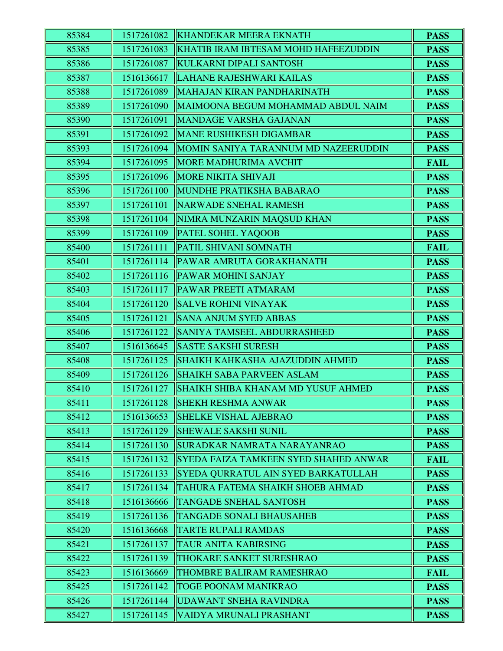| 85384 | 1517261082 | <b>KHANDEKAR MEERA EKNATH</b>           | <b>PASS</b> |
|-------|------------|-----------------------------------------|-------------|
| 85385 | 1517261083 | KHATIB IRAM IBTESAM MOHD HAFEEZUDDIN    | <b>PASS</b> |
| 85386 | 1517261087 | KULKARNI DIPALI SANTOSH                 | <b>PASS</b> |
| 85387 | 1516136617 | LAHANE RAJESHWARI KAILAS                | <b>PASS</b> |
| 85388 | 1517261089 | MAHAJAN KIRAN PANDHARINATH              | <b>PASS</b> |
| 85389 | 1517261090 | MAIMOONA BEGUM MOHAMMAD ABDUL NAIM      | <b>PASS</b> |
| 85390 | 1517261091 | MANDAGE VARSHA GAJANAN                  | <b>PASS</b> |
| 85391 | 1517261092 | <b>MANE RUSHIKESH DIGAMBAR</b>          | <b>PASS</b> |
| 85393 | 1517261094 | MOMIN SANIYA TARANNUM MD NAZEERUDDIN    | <b>PASS</b> |
| 85394 | 1517261095 | <b>MORE MADHURIMA AVCHIT</b>            | <b>FAIL</b> |
| 85395 | 1517261096 | <b>MORE NIKITA SHIVAJI</b>              | <b>PASS</b> |
| 85396 | 1517261100 | MUNDHE PRATIKSHA BABARAO                | <b>PASS</b> |
| 85397 | 1517261101 | NARWADE SNEHAL RAMESH                   | <b>PASS</b> |
| 85398 | 1517261104 | NIMRA MUNZARIN MAQSUD KHAN              | <b>PASS</b> |
| 85399 | 1517261109 | <b>PATEL SOHEL YAQOOB</b>               | <b>PASS</b> |
| 85400 | 1517261111 | <b>PATIL SHIVANI SOMNATH</b>            | <b>FAIL</b> |
| 85401 | 1517261114 | <b>PAWAR AMRUTA GORAKHANATH</b>         | <b>PASS</b> |
| 85402 | 1517261116 | <b>PAWAR MOHINI SANJAY</b>              | <b>PASS</b> |
| 85403 | 1517261117 | <b>PAWAR PREETI ATMARAM</b>             | <b>PASS</b> |
| 85404 | 1517261120 | SALVE ROHINI VINAYAK                    | <b>PASS</b> |
| 85405 | 1517261121 | <b>SANA ANJUM SYED ABBAS</b>            | <b>PASS</b> |
| 85406 | 1517261122 | SANIYA TAMSEEL ABDURRASHEED             | <b>PASS</b> |
| 85407 | 1516136645 | <b>SASTE SAKSHI SURESH</b>              | <b>PASS</b> |
| 85408 | 1517261125 | SHAIKH KAHKASHA AJAZUDDIN AHMED         | <b>PASS</b> |
| 85409 | 1517261126 | <b>SHAIKH SABA PARVEEN ASLAM</b>        | <b>PASS</b> |
| 85410 | 1517261127 | SHAIKH SHIBA KHANAM MD YUSUF AHMED      | <b>PASS</b> |
| 85411 | 1517261128 | <b>SHEKH RESHMA ANWAR</b>               | <b>PASS</b> |
| 85412 | 1516136653 | <b>SHELKE VISHAL AJEBRAO</b>            | <b>PASS</b> |
| 85413 | 1517261129 | <b>SHEWALE SAKSHI SUNIL</b>             | <b>PASS</b> |
| 85414 | 1517261130 | SURADKAR NAMRATA NARAYANRAO             | <b>PASS</b> |
| 85415 | 1517261132 | SYEDA FAIZA TAMKEEN SYED SHAHED ANWAR   | <b>FAIL</b> |
| 85416 | 1517261133 | SYEDA QURRATUL AIN SYED BARKATULLAH     | <b>PASS</b> |
| 85417 | 1517261134 | <b>TAHURA FATEMA SHAIKH SHOEB AHMAD</b> | <b>PASS</b> |
| 85418 | 1516136666 | <b>TANGADE SNEHAL SANTOSH</b>           | <b>PASS</b> |
| 85419 | 1517261136 | <b>TANGADE SONALI BHAUSAHEB</b>         | <b>PASS</b> |
| 85420 | 1516136668 | <b>TARTE RUPALI RAMDAS</b>              | <b>PASS</b> |
| 85421 | 1517261137 | <b>TAUR ANITA KABIRSING</b>             | <b>PASS</b> |
| 85422 | 1517261139 | <b>THOKARE SANKET SURESHRAO</b>         | <b>PASS</b> |
| 85423 | 1516136669 | <b>THOMBRE BALIRAM RAMESHRAO</b>        | <b>FAIL</b> |
| 85425 | 1517261142 | <b>TOGE POONAM MANIKRAO</b>             | <b>PASS</b> |
| 85426 | 1517261144 | UDAWANT SNEHA RAVINDRA                  | <b>PASS</b> |
| 85427 | 1517261145 | VAIDYA MRUNALI PRASHANT                 | <b>PASS</b> |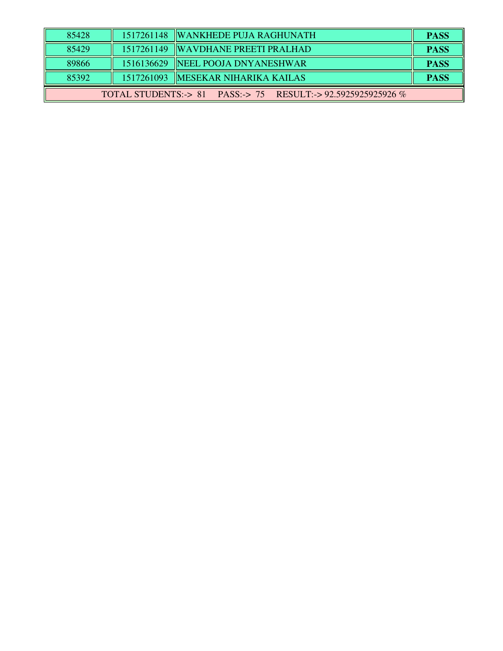| 85428                                                           |  | 1517261148  WANKHEDE PUJA RAGHUNATH  | <b>PASS</b> |  |
|-----------------------------------------------------------------|--|--------------------------------------|-------------|--|
| 85429                                                           |  | 1517261149 WAVDHANE PREETI PRALHAD   | <b>PASS</b> |  |
| 89866                                                           |  | 1516136629  NEEL POOJA DNYANESHWAR   | <b>PASS</b> |  |
| 85392                                                           |  | 1517261093   MESEKAR NIHARIKA KAILAS | <b>PASS</b> |  |
| PASS:-> 75 RESULT:-> 92.5925925925926 %<br>TOTAL STUDENTS:-> 81 |  |                                      |             |  |